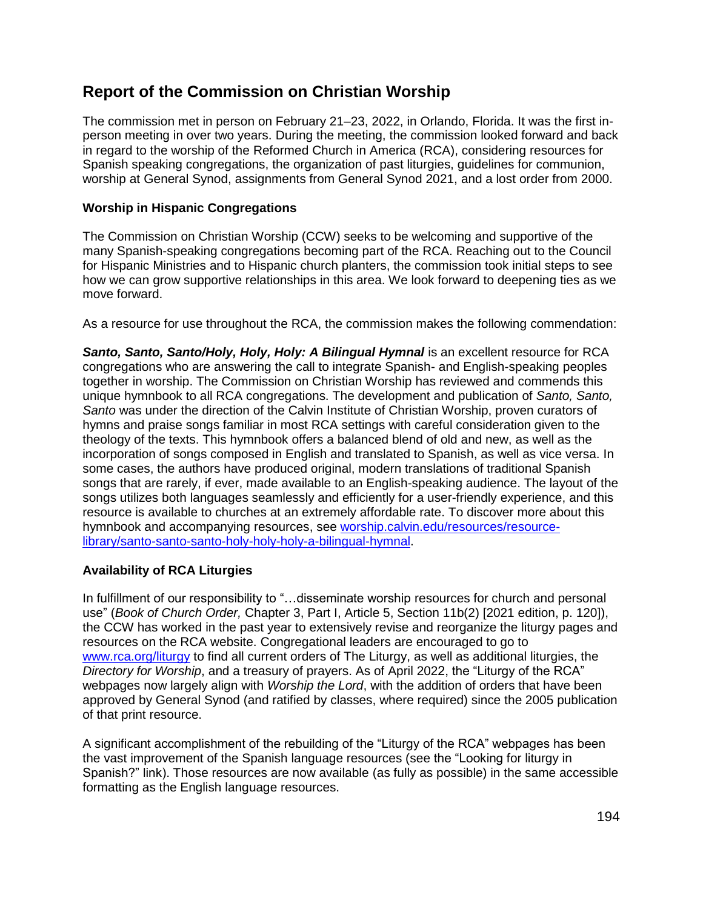# **Report of the Commission on Christian Worship**

The commission met in person on February 21–23, 2022, in Orlando, Florida. It was the first inperson meeting in over two years. During the meeting, the commission looked forward and back in regard to the worship of the Reformed Church in America (RCA), considering resources for Spanish speaking congregations, the organization of past liturgies, guidelines for communion, worship at General Synod, assignments from General Synod 2021, and a lost order from 2000.

# **Worship in Hispanic Congregations**

The Commission on Christian Worship (CCW) seeks to be welcoming and supportive of the many Spanish-speaking congregations becoming part of the RCA. Reaching out to the Council for Hispanic Ministries and to Hispanic church planters, the commission took initial steps to see how we can grow supportive relationships in this area. We look forward to deepening ties as we move forward.

As a resource for use throughout the RCA, the commission makes the following commendation:

*Santo, Santo, Santo/Holy, Holy, Holy: A Bilingual Hymnal* is an excellent resource for RCA congregations who are answering the call to integrate Spanish- and English-speaking peoples together in worship. The Commission on Christian Worship has reviewed and commends this unique hymnbook to all RCA congregations. The development and publication of *Santo, Santo, Santo* was under the direction of the Calvin Institute of Christian Worship, proven curators of hymns and praise songs familiar in most RCA settings with careful consideration given to the theology of the texts. This hymnbook offers a balanced blend of old and new, as well as the incorporation of songs composed in English and translated to Spanish, as well as vice versa. In some cases, the authors have produced original, modern translations of traditional Spanish songs that are rarely, if ever, made available to an English-speaking audience. The layout of the songs utilizes both languages seamlessly and efficiently for a user-friendly experience, and this resource is available to churches at an extremely affordable rate. To discover more about this hymnbook and accompanying resources, see [worship.calvin.edu/resources/resource](http://worship.calvin.edu/resources/resource-library/santo-santo-santo-holy-holy-holy-a-bilingual-hymnal)[library/santo-santo-santo-holy-holy-holy-a-bilingual-hymnal.](http://worship.calvin.edu/resources/resource-library/santo-santo-santo-holy-holy-holy-a-bilingual-hymnal)

# **Availability of RCA Liturgies**

In fulfillment of our responsibility to "…disseminate worship resources for church and personal use" (*Book of Church Order,* Chapter 3, Part I, Article 5, Section 11b(2) [2021 edition, p. 120]), the CCW has worked in the past year to extensively revise and reorganize the liturgy pages and resources on the RCA website. Congregational leaders are encouraged to go to [www.rca.org/liturgy](http://www.rca.org/liturgy) to find all current orders of The Liturgy, as well as additional liturgies, the *Directory for Worship*, and a treasury of prayers. As of April 2022, the "Liturgy of the RCA" webpages now largely align with *Worship the Lord*, with the addition of orders that have been approved by General Synod (and ratified by classes, where required) since the 2005 publication of that print resource.

A significant accomplishment of the rebuilding of the "Liturgy of the RCA" webpages has been the vast improvement of the Spanish language resources (see the "Looking for liturgy in Spanish?" link). Those resources are now available (as fully as possible) in the same accessible formatting as the English language resources.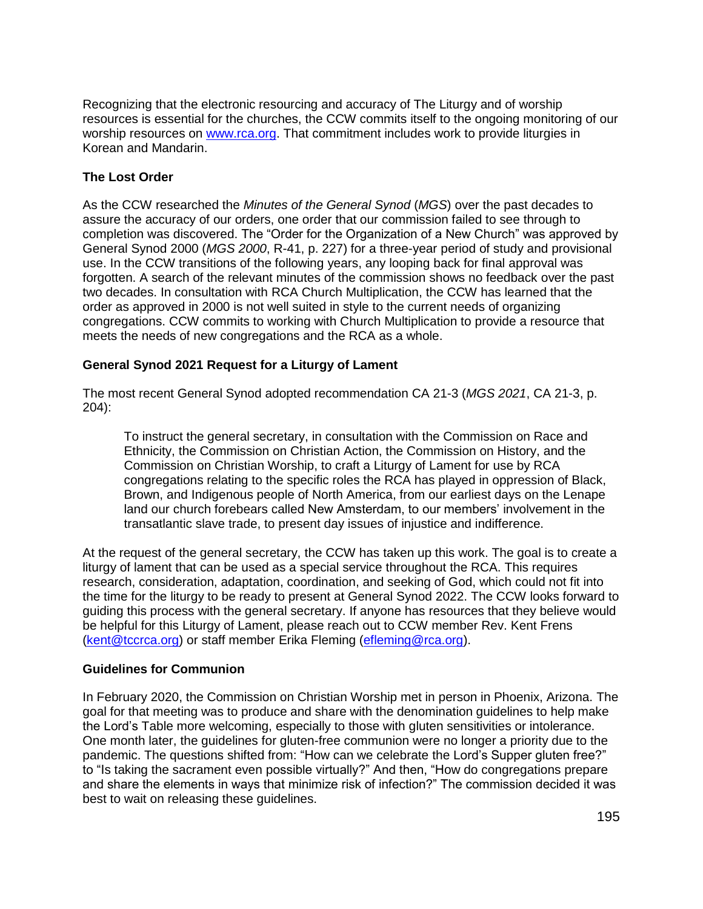Recognizing that the electronic resourcing and accuracy of The Liturgy and of worship resources is essential for the churches, the CCW commits itself to the ongoing monitoring of our worship resources on [www.rca.org.](http://www.rca.org/) That commitment includes work to provide liturgies in Korean and Mandarin.

# **The Lost Order**

As the CCW researched the *Minutes of the General Synod* (*MGS*) over the past decades to assure the accuracy of our orders, one order that our commission failed to see through to completion was discovered. The "Order for the Organization of a New Church" was approved by General Synod 2000 (*MGS 2000*, R-41, p. 227) for a three-year period of study and provisional use. In the CCW transitions of the following years, any looping back for final approval was forgotten. A search of the relevant minutes of the commission shows no feedback over the past two decades. In consultation with RCA Church Multiplication, the CCW has learned that the order as approved in 2000 is not well suited in style to the current needs of organizing congregations. CCW commits to working with Church Multiplication to provide a resource that meets the needs of new congregations and the RCA as a whole.

# **General Synod 2021 Request for a Liturgy of Lament**

The most recent General Synod adopted recommendation CA 21-3 (*MGS 2021*, CA 21-3, p. 204):

To instruct the general secretary, in consultation with the Commission on Race and Ethnicity, the Commission on Christian Action, the Commission on History, and the Commission on Christian Worship, to craft a Liturgy of Lament for use by RCA congregations relating to the specific roles the RCA has played in oppression of Black, Brown, and Indigenous people of North America, from our earliest days on the Lenape land our church forebears called New Amsterdam, to our members' involvement in the transatlantic slave trade, to present day issues of injustice and indifference.

At the request of the general secretary, the CCW has taken up this work. The goal is to create a liturgy of lament that can be used as a special service throughout the RCA. This requires research, consideration, adaptation, coordination, and seeking of God, which could not fit into the time for the liturgy to be ready to present at General Synod 2022. The CCW looks forward to guiding this process with the general secretary. If anyone has resources that they believe would be helpful for this Liturgy of Lament, please reach out to CCW member Rev. Kent Frens [\(kent@tccrca.org\)](mailto:kent@tccrca.org) or staff member Erika Fleming [\(efleming@rca.org\)](mailto:efleming@rca.org).

### **Guidelines for Communion**

In February 2020, the Commission on Christian Worship met in person in Phoenix, Arizona. The goal for that meeting was to produce and share with the denomination guidelines to help make the Lord's Table more welcoming, especially to those with gluten sensitivities or intolerance. One month later, the guidelines for gluten-free communion were no longer a priority due to the pandemic. The questions shifted from: "How can we celebrate the Lord's Supper gluten free?" to "Is taking the sacrament even possible virtually?" And then, "How do congregations prepare and share the elements in ways that minimize risk of infection?" The commission decided it was best to wait on releasing these guidelines.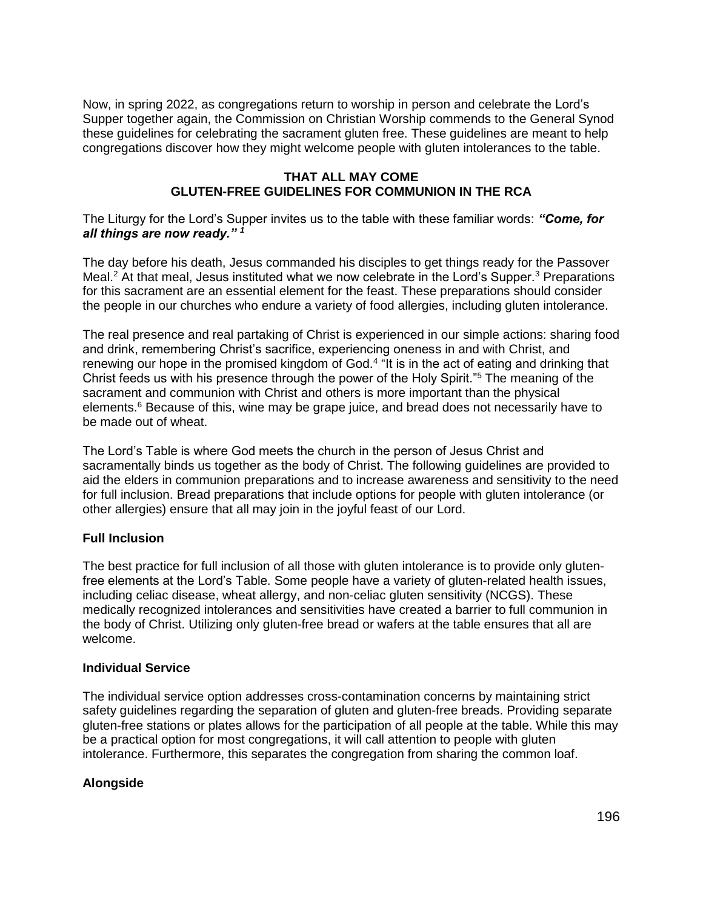Now, in spring 2022, as congregations return to worship in person and celebrate the Lord's Supper together again, the Commission on Christian Worship commends to the General Synod these guidelines for celebrating the sacrament gluten free. These guidelines are meant to help congregations discover how they might welcome people with gluten intolerances to the table.

### **THAT ALL MAY COME GLUTEN-FREE GUIDELINES FOR COMMUNION IN THE RCA**

The Liturgy for the Lord's Supper invites us to the table with these familiar words: *"Come, for all things are now ready." <sup>1</sup>*

The day before his death, Jesus commanded his disciples to get things ready for the Passover Meal.<sup>2</sup> At that meal, Jesus instituted what we now celebrate in the Lord's Supper.<sup>3</sup> Preparations for this sacrament are an essential element for the feast. These preparations should consider the people in our churches who endure a variety of food allergies, including gluten intolerance.

The real presence and real partaking of Christ is experienced in our simple actions: sharing food and drink, remembering Christ's sacrifice, experiencing oneness in and with Christ, and renewing our hope in the promised kingdom of God.<sup>4</sup> "It is in the act of eating and drinking that Christ feeds us with his presence through the power of the Holy Spirit."<sup>5</sup> The meaning of the sacrament and communion with Christ and others is more important than the physical elements.<sup>6</sup> Because of this, wine may be grape juice, and bread does not necessarily have to be made out of wheat.

The Lord's Table is where God meets the church in the person of Jesus Christ and sacramentally binds us together as the body of Christ. The following guidelines are provided to aid the elders in communion preparations and to increase awareness and sensitivity to the need for full inclusion. Bread preparations that include options for people with gluten intolerance (or other allergies) ensure that all may join in the joyful feast of our Lord.

### **Full Inclusion**

The best practice for full inclusion of all those with gluten intolerance is to provide only glutenfree elements at the Lord's Table. Some people have a variety of gluten-related health issues, including celiac disease, wheat allergy, and non-celiac gluten sensitivity (NCGS). These medically recognized intolerances and sensitivities have created a barrier to full communion in the body of Christ. Utilizing only gluten-free bread or wafers at the table ensures that all are welcome.

### **Individual Service**

The individual service option addresses cross-contamination concerns by maintaining strict safety guidelines regarding the separation of gluten and gluten-free breads. Providing separate gluten-free stations or plates allows for the participation of all people at the table. While this may be a practical option for most congregations, it will call attention to people with gluten intolerance. Furthermore, this separates the congregation from sharing the common loaf.

### **Alongside**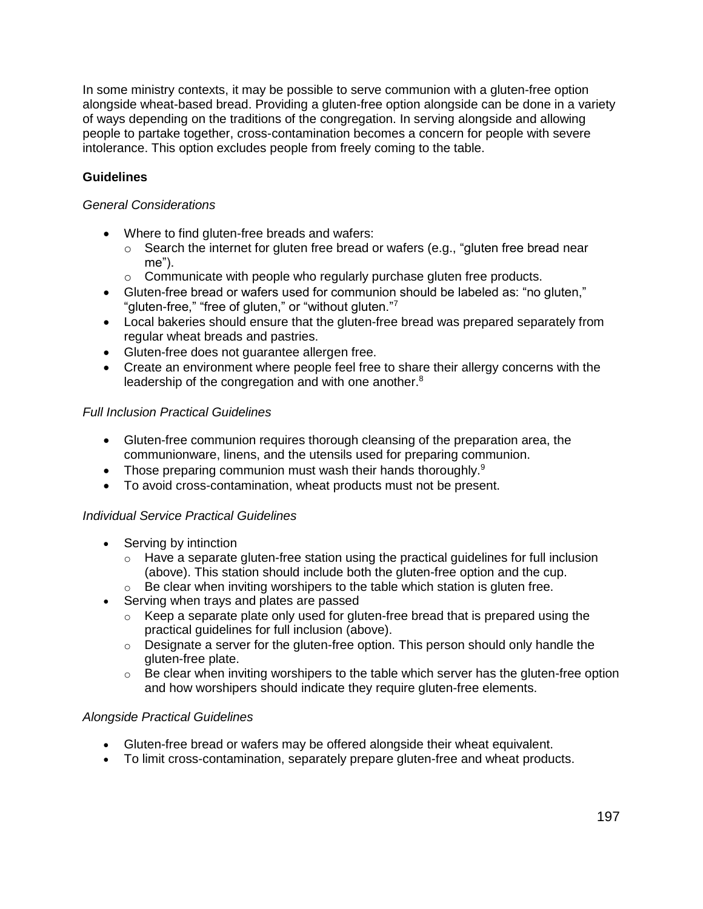In some ministry contexts, it may be possible to serve communion with a gluten-free option alongside wheat-based bread. Providing a gluten-free option alongside can be done in a variety of ways depending on the traditions of the congregation. In serving alongside and allowing people to partake together, cross-contamination becomes a concern for people with severe intolerance. This option excludes people from freely coming to the table.

# **Guidelines**

# *General Considerations*

- Where to find gluten-free breads and wafers:
	- $\circ$  Search the internet for gluten free bread or wafers (e.g., "gluten free bread near me").
	- o Communicate with people who regularly purchase gluten free products.
- Gluten-free bread or wafers used for communion should be labeled as: "no gluten," "gluten-free," "free of gluten," or "without gluten."<sup>7</sup>
- Local bakeries should ensure that the gluten-free bread was prepared separately from regular wheat breads and pastries.
- Gluten-free does not guarantee allergen free.
- Create an environment where people feel free to share their allergy concerns with the leadership of the congregation and with one another.<sup>8</sup>

# *Full Inclusion Practical Guidelines*

- Gluten-free communion requires thorough cleansing of the preparation area, the communionware, linens, and the utensils used for preparing communion.
- Those preparing communion must wash their hands thoroughly. $9$
- To avoid cross-contamination, wheat products must not be present.

### *Individual Service Practical Guidelines*

- Serving by intinction
	- $\circ$  Have a separate gluten-free station using the practical guidelines for full inclusion (above). This station should include both the gluten-free option and the cup.
	- $\circ$  Be clear when inviting worshipers to the table which station is gluten free.
- Serving when trays and plates are passed
	- $\circ$  Keep a separate plate only used for gluten-free bread that is prepared using the practical guidelines for full inclusion (above).
	- $\circ$  Designate a server for the gluten-free option. This person should only handle the gluten-free plate.
	- $\circ$  Be clear when inviting worshipers to the table which server has the gluten-free option and how worshipers should indicate they require gluten-free elements.

### *Alongside Practical Guidelines*

- Gluten-free bread or wafers may be offered alongside their wheat equivalent.
- To limit cross-contamination, separately prepare gluten-free and wheat products.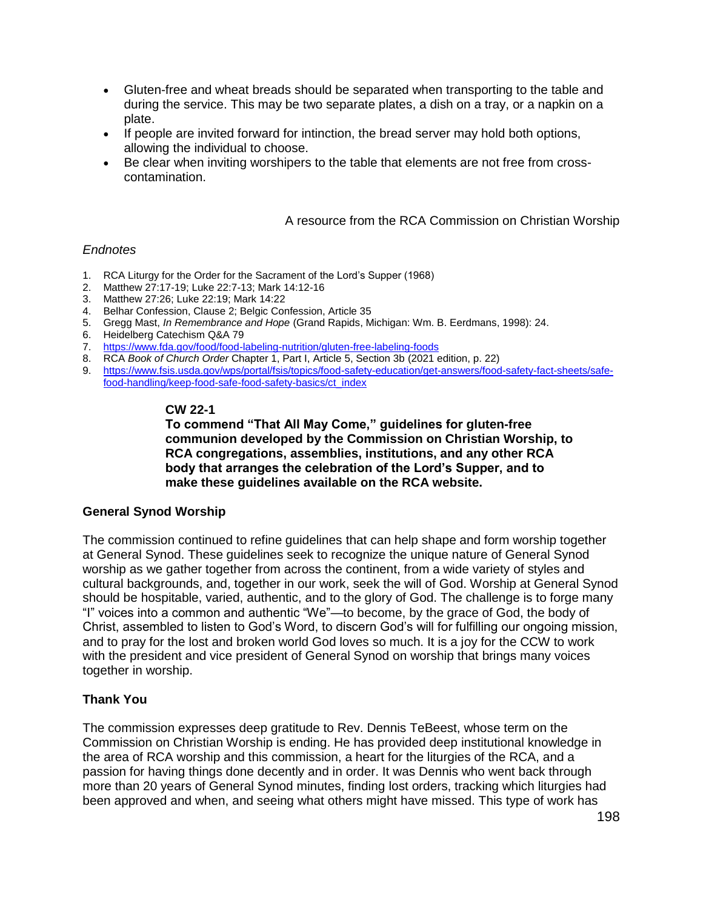- Gluten-free and wheat breads should be separated when transporting to the table and during the service. This may be two separate plates, a dish on a tray, or a napkin on a plate.
- If people are invited forward for intinction, the bread server may hold both options, allowing the individual to choose.
- Be clear when inviting worshipers to the table that elements are not free from crosscontamination.

A resource from the RCA Commission on Christian Worship

#### *Endnotes*

- 1. RCA Liturgy for the Order for the Sacrament of the Lord's Supper (1968)
- 2. Matthew 27:17-19; Luke 22:7-13; Mark 14:12-16
- 3. Matthew 27:26; Luke 22:19; Mark 14:22
- 4. Belhar Confession, Clause 2; Belgic Confession, Article 35
- 5. Gregg Mast, *In Remembrance and Hope* (Grand Rapids, Michigan: Wm. B. Eerdmans, 1998): 24.
- 6. Heidelberg Catechism Q&A 79
- 7. <https://www.fda.gov/food/food-labeling-nutrition/gluten-free-labeling-foods>
- 8. RCA *Book of Church Order* Chapter 1, Part I, Article 5, Section 3b (2021 edition, p. 22)
- 9. [https://www.fsis.usda.gov/wps/portal/fsis/topics/food-safety-education/get-answers/food-safety-fact-sheets/safe](https://www.fsis.usda.gov/wps/portal/fsis/topics/food-safety-education/get-answers/food-safety-fact-sheets/safe-food-handling/keep-food-safe-food-safety-basics/ct_index)[food-handling/keep-food-safe-food-safety-basics/ct\\_index](https://www.fsis.usda.gov/wps/portal/fsis/topics/food-safety-education/get-answers/food-safety-fact-sheets/safe-food-handling/keep-food-safe-food-safety-basics/ct_index)

#### **CW 22-1**

**To commend "That All May Come," guidelines for gluten-free communion developed by the Commission on Christian Worship, to RCA congregations, assemblies, institutions, and any other RCA body that arranges the celebration of the Lord's Supper, and to make these guidelines available on the RCA website.**

### **General Synod Worship**

The commission continued to refine guidelines that can help shape and form worship together at General Synod. These guidelines seek to recognize the unique nature of General Synod worship as we gather together from across the continent, from a wide variety of styles and cultural backgrounds, and, together in our work, seek the will of God. Worship at General Synod should be hospitable, varied, authentic, and to the glory of God. The challenge is to forge many "I" voices into a common and authentic "We"—to become, by the grace of God, the body of Christ, assembled to listen to God's Word, to discern God's will for fulfilling our ongoing mission, and to pray for the lost and broken world God loves so much. It is a joy for the CCW to work with the president and vice president of General Synod on worship that brings many voices together in worship.

### **Thank You**

The commission expresses deep gratitude to Rev. Dennis TeBeest, whose term on the Commission on Christian Worship is ending. He has provided deep institutional knowledge in the area of RCA worship and this commission, a heart for the liturgies of the RCA, and a passion for having things done decently and in order. It was Dennis who went back through more than 20 years of General Synod minutes, finding lost orders, tracking which liturgies had been approved and when, and seeing what others might have missed. This type of work has